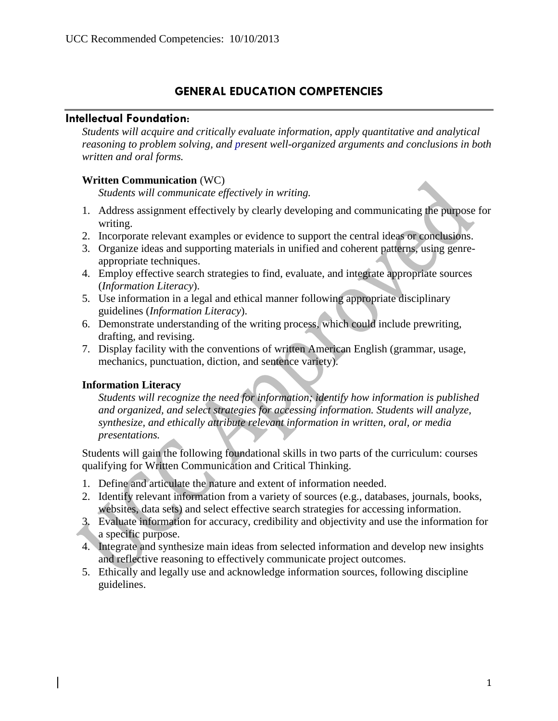# **GENERAL EDUCATION COMPETENCIES**

## **Intellectual Foundation**:

*Students will acquire and critically evaluate information, apply quantitative and analytical reasoning to problem solving, and present well-organized arguments and conclusions in both written and oral forms.*

#### **Written Communication** (WC)

*Students will communicate effectively in writing.*

- 1. Address assignment effectively by clearly developing and communicating the purpose for writing.
- 2. Incorporate relevant examples or evidence to support the central ideas or conclusions.
- 3. Organize ideas and supporting materials in unified and coherent patterns, using genreappropriate techniques.
- 4. Employ effective search strategies to find, evaluate, and integrate appropriate sources (*Information Literacy*).
- 5. Use information in a legal and ethical manner following appropriate disciplinary guidelines (*Information Literacy*).
- 6. Demonstrate understanding of the writing process, which could include prewriting, drafting, and revising.
- 7. Display facility with the conventions of written American English (grammar, usage, mechanics, punctuation, diction, and sentence variety).

### **Information Literacy**

*Students will recognize the need for information; identify how information is published and organized, and select strategies for accessing information. Students will analyze, synthesize, and ethically attribute relevant information in written, oral, or media presentations.*

Students will gain the following foundational skills in two parts of the curriculum: courses qualifying for Written Communication and Critical Thinking.

- 1. Define and articulate the nature and extent of information needed.
- 2. Identify relevant information from a variety of sources (e.g., databases, journals, books, websites, data sets) and select effective search strategies for accessing information.
- 3. Evaluate information for accuracy, credibility and objectivity and use the information for a specific purpose.
- 4. Integrate and synthesize main ideas from selected information and develop new insights and reflective reasoning to effectively communicate project outcomes.
- 5. Ethically and legally use and acknowledge information sources, following discipline guidelines.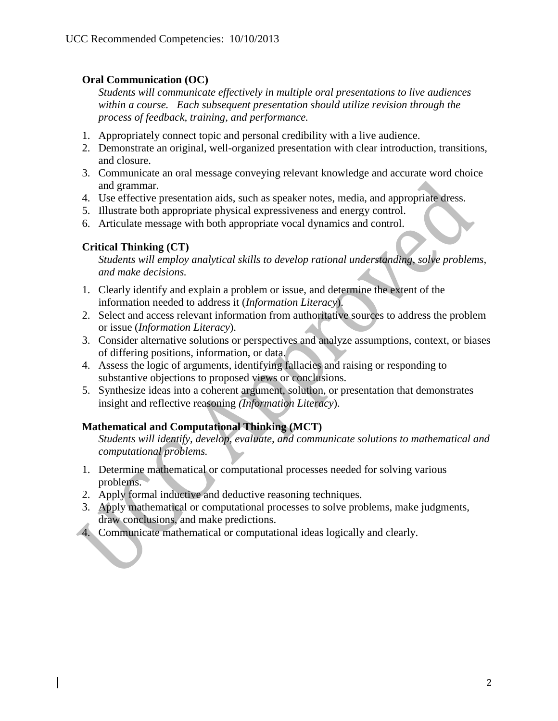### **Oral Communication (OC)**

*Students will communicate effectively in multiple oral presentations to live audiences within a course. Each subsequent presentation should utilize revision through the process of feedback, training, and performance.*

- 1. Appropriately connect topic and personal credibility with a live audience.
- 2. Demonstrate an original, well-organized presentation with clear introduction, transitions, and closure.
- 3. Communicate an oral message conveying relevant knowledge and accurate word choice and grammar.
- 4. Use effective presentation aids, such as speaker notes, media, and appropriate dress.
- 5. Illustrate both appropriate physical expressiveness and energy control.
- 6. Articulate message with both appropriate vocal dynamics and control.

## **Critical Thinking (CT)**

*Students will employ analytical skills to develop rational understanding, solve problems, and make decisions.*

- 1. Clearly identify and explain a problem or issue, and determine the extent of the information needed to address it (*Information Literacy*).
- 2. Select and access relevant information from authoritative sources to address the problem or issue (*Information Literacy*).
- 3. Consider alternative solutions or perspectives and analyze assumptions, context, or biases of differing positions, information, or data.
- 4. Assess the logic of arguments, identifying fallacies and raising or responding to substantive objections to proposed views or conclusions.
- 5. Synthesize ideas into a coherent argument, solution, or presentation that demonstrates insight and reflective reasoning *(Information Literacy*).

## **Mathematical and Computational Thinking (MCT)**

*Students will identify, develop, evaluate, and communicate solutions to mathematical and computational problems.*

- 1. Determine mathematical or computational processes needed for solving various problems.
- 2. Apply formal inductive and deductive reasoning techniques.
- 3. Apply mathematical or computational processes to solve problems, make judgments, draw conclusions, and make predictions.
- 4. Communicate mathematical or computational ideas logically and clearly.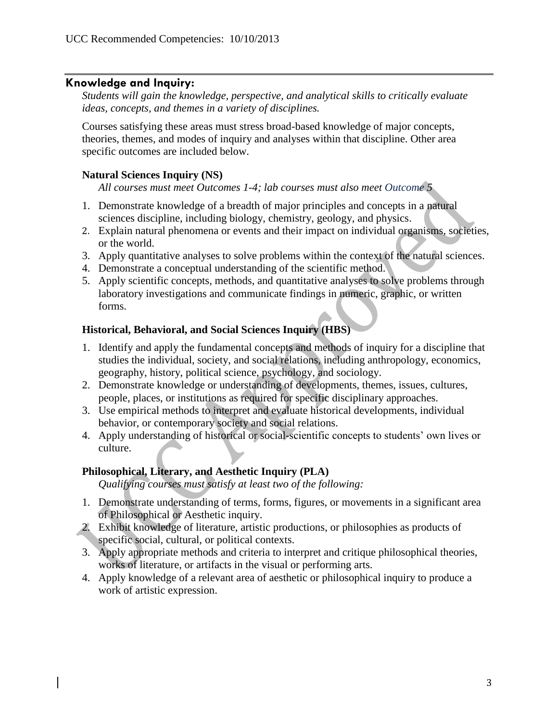#### **Knowledge and Inquiry:**

*Students will gain the knowledge, perspective, and analytical skills to critically evaluate ideas, concepts, and themes in a variety of disciplines.* 

Courses satisfying these areas must stress broad-based knowledge of major concepts, theories, themes, and modes of inquiry and analyses within that discipline. Other area specific outcomes are included below.

#### **Natural Sciences Inquiry (NS)**

*All courses must meet Outcomes 1-4; lab courses must also meet Outcome 5*

- 1. Demonstrate knowledge of a breadth of major principles and concepts in a natural sciences discipline, including biology, chemistry, geology, and physics.
- 2. Explain natural phenomena or events and their impact on individual organisms, societies, or the world.
- 3. Apply quantitative analyses to solve problems within the context of the natural sciences.
- 4. Demonstrate a conceptual understanding of the scientific method.
- 5. Apply scientific concepts, methods, and quantitative analyses to solve problems through laboratory investigations and communicate findings in numeric, graphic, or written forms.

#### **Historical, Behavioral, and Social Sciences Inquiry (HBS)**

- 1. Identify and apply the fundamental concepts and methods of inquiry for a discipline that studies the individual, society, and social relations, including anthropology, economics, geography, history, political science, psychology, and sociology.
- 2. Demonstrate knowledge or understanding of developments, themes, issues, cultures, people, places, or institutions as required for specific disciplinary approaches.
- 3. Use empirical methods to interpret and evaluate historical developments, individual behavior, or contemporary society and social relations.
- 4. Apply understanding of historical or social-scientific concepts to students' own lives or culture.

#### **Philosophical, Literary, and Aesthetic Inquiry (PLA)**

*Qualifying courses must satisfy at least two of the following:*

- 1. Demonstrate understanding of terms, forms, figures, or movements in a significant area of Philosophical or Aesthetic inquiry.
- 2. Exhibit knowledge of literature, artistic productions, or philosophies as products of specific social, cultural, or political contexts.
- 3. Apply appropriate methods and criteria to interpret and critique philosophical theories, works of literature, or artifacts in the visual or performing arts.
- 4. Apply knowledge of a relevant area of aesthetic or philosophical inquiry to produce a work of artistic expression.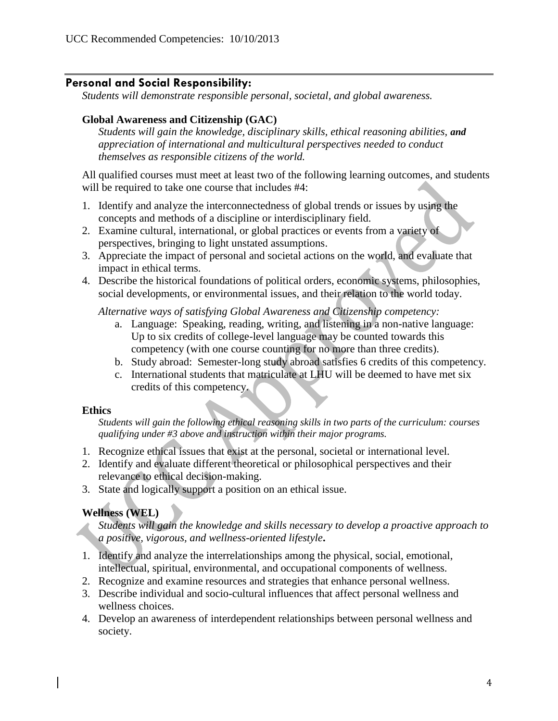## **Personal and Social Responsibility:**

*Students will demonstrate responsible personal, societal, and global awareness.*

#### **Global Awareness and Citizenship (GAC)**

*Students will gain the knowledge, disciplinary skills, ethical reasoning abilities, and appreciation of international and multicultural perspectives needed to conduct themselves as responsible citizens of the world.*

All qualified courses must meet at least two of the following learning outcomes, and students will be required to take one course that includes #4:

- 1. Identify and analyze the interconnectedness of global trends or issues by using the concepts and methods of a discipline or interdisciplinary field.
- 2. Examine cultural, international, or global practices or events from a variety of perspectives, bringing to light unstated assumptions.
- 3. Appreciate the impact of personal and societal actions on the world, and evaluate that impact in ethical terms.
- 4. Describe the historical foundations of political orders, economic systems, philosophies, social developments, or environmental issues, and their relation to the world today.

*Alternative ways of satisfying Global Awareness and Citizenship competency:*

- a. Language: Speaking, reading, writing, and listening in a non-native language: Up to six credits of college-level language may be counted towards this competency (with one course counting for no more than three credits).
- b. Study abroad: Semester-long study abroad satisfies 6 credits of this competency.
- c. International students that matriculate at LHU will be deemed to have met six credits of this competency.

#### **Ethics**

*Students will gain the following ethical reasoning skills in two parts of the curriculum: courses qualifying under #3 above and instruction within their major programs.*

- 1. Recognize ethical issues that exist at the personal, societal or international level.
- 2. Identify and evaluate different theoretical or philosophical perspectives and their relevance to ethical decision-making.
- 3. State and logically support a position on an ethical issue.

### **Wellness (WEL)**

*Students will gain the knowledge and skills necessary to develop a proactive approach to a positive, vigorous, and wellness-oriented lifestyle***.**

- 1. Identify and analyze the interrelationships among the physical, social, emotional, intellectual, spiritual, environmental, and occupational components of wellness.
- 2. Recognize and examine resources and strategies that enhance personal wellness.
- 3. Describe individual and socio-cultural influences that affect personal wellness and wellness choices.
- 4. Develop an awareness of interdependent relationships between personal wellness and society.